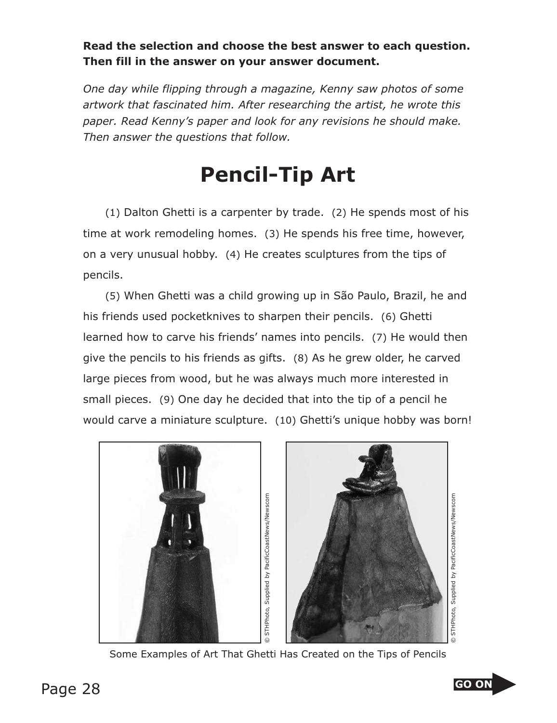## **Read the selection and choose the best answer to each question. Then fill in the answer on your answer document.**

*One day while flipping through a magazine, Kenny saw photos of some artwork that fascinated him. After researching the artist, he wrote this paper. Read Kenny's paper and look for any revisions he should make. Then answer the questions that follow.*

## **Pencil-Tip Art**

(1) Dalton Ghetti is a carpenter by trade. (2) He spends most of his time at work remodeling homes. (3) He spends his free time, however, on a very unusual hobby. (4) He creates sculptures from the tips of pencils.

(5) When Ghetti was a child growing up in São Paulo, Brazil, he and his friends used pocketknives to sharpen their pencils. (6) Ghetti learned how to carve his friends' names into pencils. (7) He would then give the pencils to his friends as gifts. (8) As he grew older, he carved large pieces from wood, but he was always much more interested in small pieces. (9) One day he decided that into the tip of a pencil he would carve a miniature sculpture. (10) Ghetti's unique hobby was born!





© STHPhoto, Supplied by PacificCoastNews/NewscomSTHPhoto, Supplied by PacificCoastNews/Newscom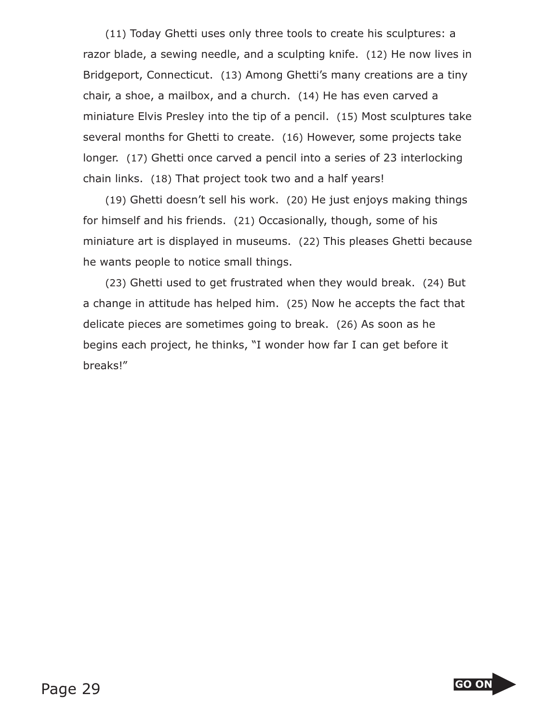(11) Today Ghetti uses only three tools to create his sculptures: a razor blade, a sewing needle, and a sculpting knife. (12) He now lives in Bridgeport, Connecticut. (13) Among Ghetti's many creations are a tiny chair, a shoe, a mailbox, and a church. (14) He has even carved a miniature Elvis Presley into the tip of a pencil. (15) Most sculptures take several months for Ghetti to create. (16) However, some projects take longer. (17) Ghetti once carved a pencil into a series of 23 interlocking chain links. (18) That project took two and a half years!

(19) Ghetti doesn't sell his work. (20) He just enjoys making things for himself and his friends. (21) Occasionally, though, some of his miniature art is displayed in museums. (22) This pleases Ghetti because he wants people to notice small things.

(23) Ghetti used to get frustrated when they would break. (24) But a change in attitude has helped him. (25) Now he accepts the fact that delicate pieces are sometimes going to break. (26) As soon as he begins each project, he thinks, "I wonder how far I can get before it breaks!"

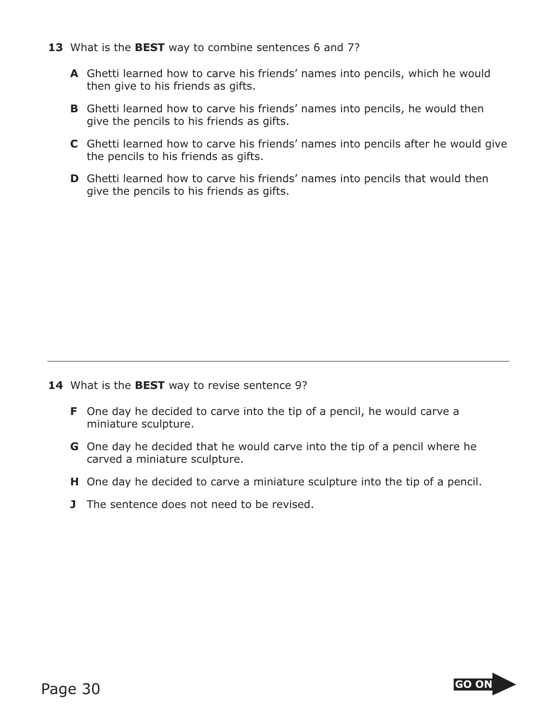- **13** What is the **BEST** way to combine sentences 6 and 7?
	- **A** Ghetti learned how to carve his friends' names into pencils, which he would then give to his friends as gifts.
	- **B** Ghetti learned how to carve his friends' names into pencils, he would then give the pencils to his friends as gifts.
	- **C** Ghetti learned how to carve his friends' names into pencils after he would give the pencils to his friends as gifts.
	- **D** Ghetti learned how to carve his friends' names into pencils that would then give the pencils to his friends as gifts.

- **14** What is the **BEST** way to revise sentence 9?
	- **F** One day he decided to carve into the tip of a pencil, he would carve a miniature sculpture.
	- **G** One day he decided that he would carve into the tip of a pencil where he carved a miniature sculpture.
	- **H** One day he decided to carve a miniature sculpture into the tip of a pencil.
	- **J** The sentence does not need to be revised.